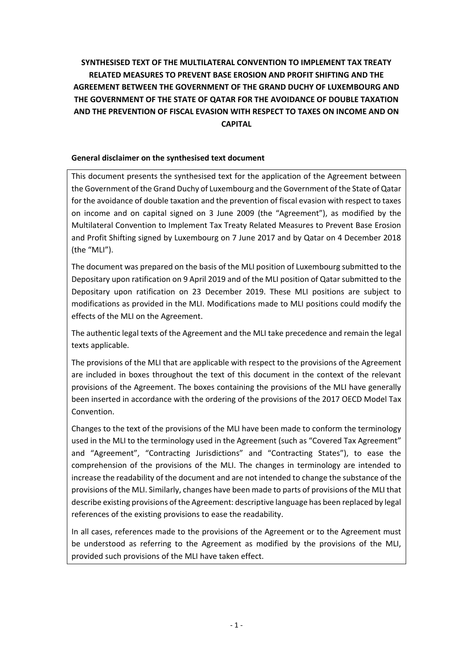# **SYNTHESISED TEXT OF THE MULTILATERAL CONVENTION TO IMPLEMENT TAX TREATY RELATED MEASURES TO PREVENT BASE EROSION AND PROFIT SHIFTING AND THE AGREEMENT BETWEEN THE GOVERNMENT OF THE GRAND DUCHY OF LUXEMBOURG AND THE GOVERNMENT OF THE STATE OF QATAR FOR THE AVOIDANCE OF DOUBLE TAXATION AND THE PREVENTION OF FISCAL EVASION WITH RESPECT TO TAXES ON INCOME AND ON CAPITAL**

## **General disclaimer on the synthesised text document**

This document presents the synthesised text for the application of the Agreement between the Government of the Grand Duchy of Luxembourg and the Government of the State of Qatar for the avoidance of double taxation and the prevention of fiscal evasion with respect to taxes on income and on capital signed on 3 June 2009 (the "Agreement"), as modified by the Multilateral Convention to Implement Tax Treaty Related Measures to Prevent Base Erosion and Profit Shifting signed by Luxembourg on 7 June 2017 and by Qatar on 4 December 2018 (the "MLI").

The document was prepared on the basis of the MLI position of Luxembourg submitted to the Depositary upon ratification on 9 April 2019 and of the MLI position of Qatar submitted to the Depositary upon ratification on 23 December 2019. These MLI positions are subject to modifications as provided in the MLI. Modifications made to MLI positions could modify the effects of the MLI on the Agreement.

The authentic legal texts of the Agreement and the MLI take precedence and remain the legal texts applicable.

The provisions of the MLI that are applicable with respect to the provisions of the Agreement are included in boxes throughout the text of this document in the context of the relevant provisions of the Agreement. The boxes containing the provisions of the MLI have generally been inserted in accordance with the ordering of the provisions of the 2017 OECD Model Tax Convention.

Changes to the text of the provisions of the MLI have been made to conform the terminology used in the MLI to the terminology used in the Agreement (such as "Covered Tax Agreement" and "Agreement", "Contracting Jurisdictions" and "Contracting States"), to ease the comprehension of the provisions of the MLI. The changes in terminology are intended to increase the readability of the document and are not intended to change the substance of the provisions of the MLI. Similarly, changes have been made to parts of provisions of the MLI that describe existing provisions of the Agreement: descriptive language has been replaced by legal references of the existing provisions to ease the readability.

In all cases, references made to the provisions of the Agreement or to the Agreement must be understood as referring to the Agreement as modified by the provisions of the MLI, provided such provisions of the MLI have taken effect.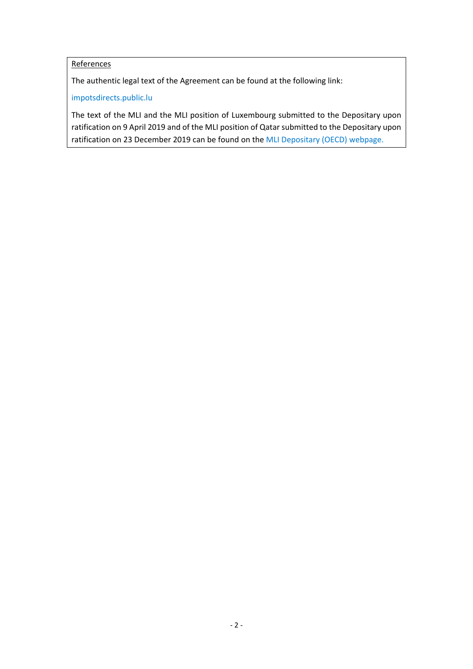# **References**

The authentic legal text of the Agreement can be found at the following link:

[impotsdirects.public.lu](https://impotsdirects.public.lu/fr.html)

The text of the MLI and the MLI position of Luxembourg submitted to the Depositary upon ratification on 9 April 2019 and of the MLI position of Qatar submitted to the Depositary upon ratification on 23 December 2019 can be found on the [MLI Depositary \(OECD\) webpage.](https://www.oecd.org/tax/treaties/multilateral-convention-to-implement-tax-treaty-related-measures-to-prevent-beps.htm)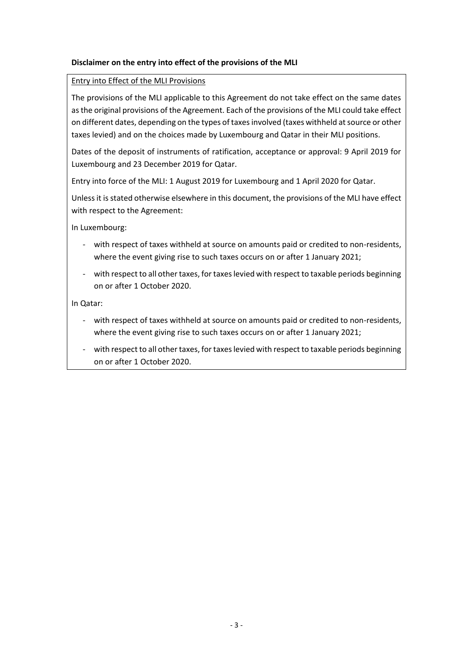# **Disclaimer on the entry into effect of the provisions of the MLI**

### Entry into Effect of the MLI Provisions

The provisions of the MLI applicable to this Agreement do not take effect on the same dates as the original provisions of the Agreement. Each of the provisions of the MLI could take effect on different dates, depending on the types of taxes involved (taxes withheld at source or other taxes levied) and on the choices made by Luxembourg and Qatar in their MLI positions.

Dates of the deposit of instruments of ratification, acceptance or approval: 9 April 2019 for Luxembourg and 23 December 2019 for Qatar.

Entry into force of the MLI: 1 August 2019 for Luxembourg and 1 April 2020 for Qatar.

Unless it is stated otherwise elsewhere in this document, the provisions of the MLI have effect with respect to the Agreement:

In Luxembourg:

- with respect of taxes withheld at source on amounts paid or credited to non-residents, where the event giving rise to such taxes occurs on or after 1 January 2021;
- with respect to all other taxes, for taxes levied with respect to taxable periods beginning on or after 1 October 2020.

In Qatar:

- with respect of taxes withheld at source on amounts paid or credited to non-residents, where the event giving rise to such taxes occurs on or after 1 January 2021;
- with respect to all other taxes, for taxes levied with respect to taxable periods beginning on or after 1 October 2020.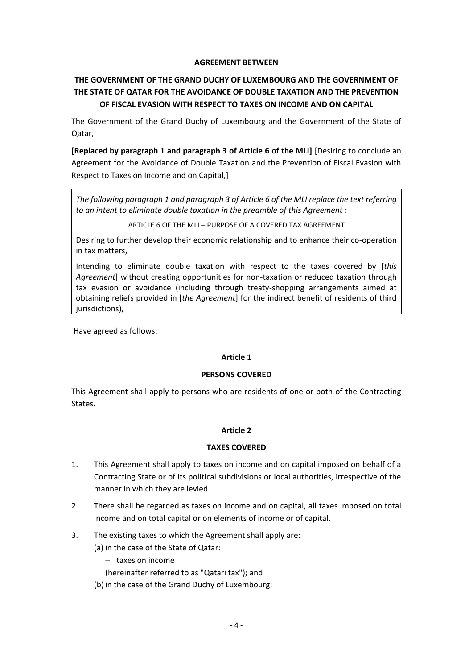### **AGREEMENT BETWEEN**

# **THE GOVERNMENT OF THE GRAND DUCHY OF LUXEMBOURG AND THE GOVERNMENT OF THE STATE OF QATAR FOR THE AVOIDANCE OF DOUBLE TAXATION AND THE PREVENTION OF FISCAL EVASION WITH RESPECT TO TAXES ON INCOME AND ON CAPITAL**

The Government of the Grand Duchy of Luxembourg and the Government of the State of Qatar,

**[Replaced by paragraph 1 and paragraph 3 of Article 6 of the MLI]** [Desiring to conclude an Agreement for the Avoidance of Double Taxation and the Prevention of Fiscal Evasion with Respect to Taxes on Income and on Capital,]

*The following paragraph 1 and paragraph 3 of Article 6 of the MLI replace the text referring to an intent to eliminate double taxation in the preamble of this Agreement :*

ARTICLE 6 OF THE MLI – PURPOSE OF A COVERED TAX AGREEMENT

Desiring to further develop their economic relationship and to enhance their co-operation in tax matters,

Intending to eliminate double taxation with respect to the taxes covered by [*this Agreement*] without creating opportunities for non-taxation or reduced taxation through tax evasion or avoidance (including through treaty-shopping arrangements aimed at obtaining reliefs provided in [*the Agreement*] for the indirect benefit of residents of third jurisdictions),

Have agreed as follows:

# **Article 1**

### **PERSONS COVERED**

This Agreement shall apply to persons who are residents of one or both of the Contracting States.

### **Article 2**

### **TAXES COVERED**

- 1. This Agreement shall apply to taxes on income and on capital imposed on behalf of a Contracting State or of its political subdivisions or local authorities, irrespective of the manner in which they are levied.
- 2. There shall be regarded as taxes on income and on capital, all taxes imposed on total income and on total capital or on elements of income or of capital.
- 3. The existing taxes to which the Agreement shall apply are:
	- (a) in the case of the State of Qatar:
		- $-$  taxes on income
		- (hereinafter referred to as "Qatari tax"); and
	- (b) in the case of the Grand Duchy of Luxembourg: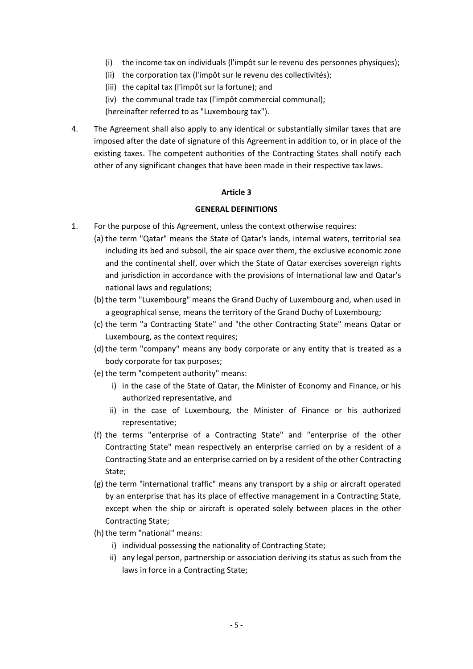- (i) the income tax on individuals (l'impôt sur le revenu des personnes physiques);
- (ii) the corporation tax (l'impôt sur le revenu des collectivités);
- (iii) the capital tax (l'impôt sur la fortune); and
- (iv) the communal trade tax (l'impôt commercial communal);

(hereinafter referred to as "Luxembourg tax").

4. The Agreement shall also apply to any identical or substantially similar taxes that are imposed after the date of signature of this Agreement in addition to, or in place of the existing taxes. The competent authorities of the Contracting States shall notify each other of any significant changes that have been made in their respective tax laws.

### **Article 3**

#### **GENERAL DEFINITIONS**

- 1. For the purpose of this Agreement, unless the context otherwise requires:
	- (a) the term "Qatar" means the State of Qatar's lands, internal waters, territorial sea including its bed and subsoil, the air space over them, the exclusive economic zone and the continental shelf, over which the State of Qatar exercises sovereign rights and jurisdiction in accordance with the provisions of International law and Qatar's national laws and regulations;
	- (b) the term "Luxembourg" means the Grand Duchy of Luxembourg and, when used in a geographical sense, means the territory of the Grand Duchy of Luxembourg;
	- (c) the term "a Contracting State" and "the other Contracting State" means Qatar or Luxembourg, as the context requires;
	- (d) the term "company" means any body corporate or any entity that is treated as a body corporate for tax purposes;
	- (e) the term "competent authority" means:
		- i) in the case of the State of Qatar, the Minister of Economy and Finance, or his authorized representative, and
		- ii) in the case of Luxembourg, the Minister of Finance or his authorized representative;
	- (f) the terms "enterprise of a Contracting State" and "enterprise of the other Contracting State" mean respectively an enterprise carried on by a resident of a Contracting State and an enterprise carried on by a resident of the other Contracting State;
	- (g) the term "international traffic" means any transport by a ship or aircraft operated by an enterprise that has its place of effective management in a Contracting State, except when the ship or aircraft is operated solely between places in the other Contracting State;
	- (h) the term "national" means:
		- i) individual possessing the nationality of Contracting State;
		- ii) any legal person, partnership or association deriving its status as such from the laws in force in a Contracting State;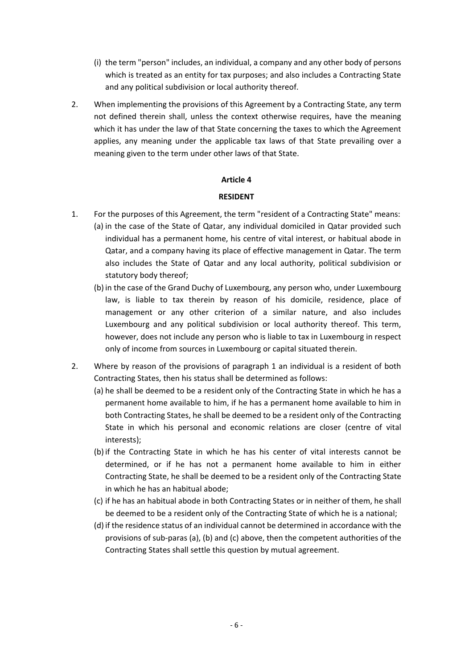- (i) the term "person" includes, an individual, a company and any other body of persons which is treated as an entity for tax purposes; and also includes a Contracting State and any political subdivision or local authority thereof.
- 2. When implementing the provisions of this Agreement by a Contracting State, any term not defined therein shall, unless the context otherwise requires, have the meaning which it has under the law of that State concerning the taxes to which the Agreement applies, any meaning under the applicable tax laws of that State prevailing over a meaning given to the term under other laws of that State.

### **RESIDENT**

- 1. For the purposes of this Agreement, the term "resident of a Contracting State" means: (a) in the case of the State of Qatar, any individual domiciled in Qatar provided such individual has a permanent home, his centre of vital interest, or habitual abode in Qatar, and a company having its place of effective management in Qatar. The term also includes the State of Qatar and any local authority, political subdivision or statutory body thereof;
	- (b) in the case of the Grand Duchy of Luxembourg, any person who, under Luxembourg law, is liable to tax therein by reason of his domicile, residence, place of management or any other criterion of a similar nature, and also includes Luxembourg and any political subdivision or local authority thereof. This term, however, does not include any person who is liable to tax in Luxembourg in respect only of income from sources in Luxembourg or capital situated therein.
- 2. Where by reason of the provisions of paragraph 1 an individual is a resident of both Contracting States, then his status shall be determined as follows:
	- (a) he shall be deemed to be a resident only of the Contracting State in which he has a permanent home available to him, if he has a permanent home available to him in both Contracting States, he shall be deemed to be a resident only of the Contracting State in which his personal and economic relations are closer (centre of vital interests);
	- (b) if the Contracting State in which he has his center of vital interests cannot be determined, or if he has not a permanent home available to him in either Contracting State, he shall be deemed to be a resident only of the Contracting State in which he has an habitual abode;
	- (c) if he has an habitual abode in both Contracting States or in neither of them, he shall be deemed to be a resident only of the Contracting State of which he is a national;
	- (d) if the residence status of an individual cannot be determined in accordance with the provisions of sub-paras (a), (b) and (c) above, then the competent authorities of the Contracting States shall settle this question by mutual agreement.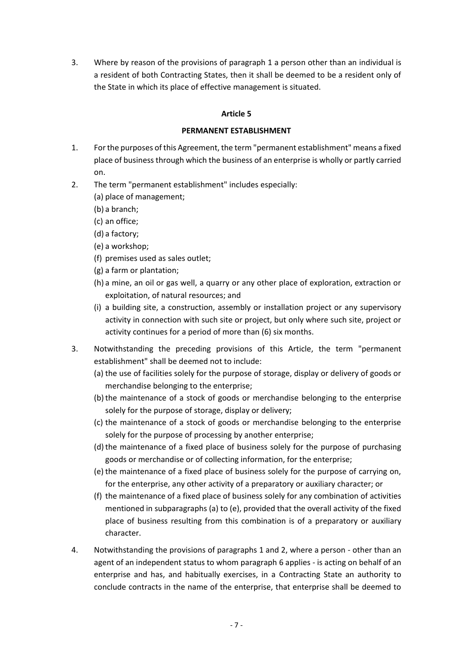3. Where by reason of the provisions of paragraph 1 a person other than an individual is a resident of both Contracting States, then it shall be deemed to be a resident only of the State in which its place of effective management is situated.

# **Article 5**

### **PERMANENT ESTABLISHMENT**

- 1. For the purposes of this Agreement, the term "permanent establishment" means a fixed place of business through which the business of an enterprise is wholly or partly carried on.
- 2. The term "permanent establishment" includes especially:
	- (a) place of management;
	- (b) a branch;
	- (c) an office;
	- (d) a factory;
	- (e) a workshop;
	- (f) premises used as sales outlet;
	- (g) a farm or plantation;
	- (h) a mine, an oil or gas well, a quarry or any other place of exploration, extraction or exploitation, of natural resources; and
	- (i) a building site, a construction, assembly or installation project or any supervisory activity in connection with such site or project, but only where such site, project or activity continues for a period of more than (6) six months.
- 3. Notwithstanding the preceding provisions of this Article, the term "permanent establishment" shall be deemed not to include:
	- (a) the use of facilities solely for the purpose of storage, display or delivery of goods or merchandise belonging to the enterprise;
	- (b)the maintenance of a stock of goods or merchandise belonging to the enterprise solely for the purpose of storage, display or delivery;
	- (c) the maintenance of a stock of goods or merchandise belonging to the enterprise solely for the purpose of processing by another enterprise;
	- (d) the maintenance of a fixed place of business solely for the purpose of purchasing goods or merchandise or of collecting information, for the enterprise;
	- (e) the maintenance of a fixed place of business solely for the purpose of carrying on, for the enterprise, any other activity of a preparatory or auxiliary character; or
	- (f) the maintenance of a fixed place of business solely for any combination of activities mentioned in subparagraphs (a) to (e), provided that the overall activity of the fixed place of business resulting from this combination is of a preparatory or auxiliary character.
- 4. Notwithstanding the provisions of paragraphs 1 and 2, where a person other than an agent of an independent status to whom paragraph 6 applies - is acting on behalf of an enterprise and has, and habitually exercises, in a Contracting State an authority to conclude contracts in the name of the enterprise, that enterprise shall be deemed to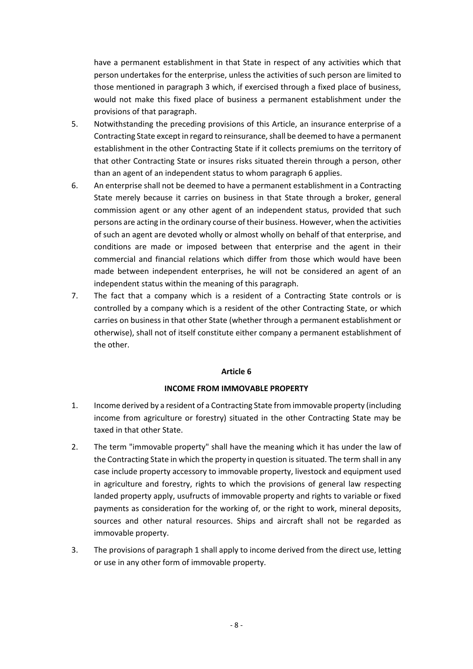have a permanent establishment in that State in respect of any activities which that person undertakes for the enterprise, unless the activities of such person are limited to those mentioned in paragraph 3 which, if exercised through a fixed place of business, would not make this fixed place of business a permanent establishment under the provisions of that paragraph.

- 5. Notwithstanding the preceding provisions of this Article, an insurance enterprise of a Contracting State except in regard to reinsurance, shall be deemed to have a permanent establishment in the other Contracting State if it collects premiums on the territory of that other Contracting State or insures risks situated therein through a person, other than an agent of an independent status to whom paragraph 6 applies.
- 6. An enterprise shall not be deemed to have a permanent establishment in a Contracting State merely because it carries on business in that State through a broker, general commission agent or any other agent of an independent status, provided that such persons are acting in the ordinary course of their business. However, when the activities of such an agent are devoted wholly or almost wholly on behalf of that enterprise, and conditions are made or imposed between that enterprise and the agent in their commercial and financial relations which differ from those which would have been made between independent enterprises, he will not be considered an agent of an independent status within the meaning of this paragraph.
- 7. The fact that a company which is a resident of a Contracting State controls or is controlled by a company which is a resident of the other Contracting State, or which carries on business in that other State (whether through a permanent establishment or otherwise), shall not of itself constitute either company a permanent establishment of the other.

### **Article 6**

### **INCOME FROM IMMOVABLE PROPERTY**

- 1. Income derived by a resident of a Contracting State from immovable property (including income from agriculture or forestry) situated in the other Contracting State may be taxed in that other State.
- 2. The term "immovable property" shall have the meaning which it has under the law of the Contracting State in which the property in question is situated. The term shall in any case include property accessory to immovable property, livestock and equipment used in agriculture and forestry, rights to which the provisions of general law respecting landed property apply, usufructs of immovable property and rights to variable or fixed payments as consideration for the working of, or the right to work, mineral deposits, sources and other natural resources. Ships and aircraft shall not be regarded as immovable property.
- 3. The provisions of paragraph 1 shall apply to income derived from the direct use, letting or use in any other form of immovable property.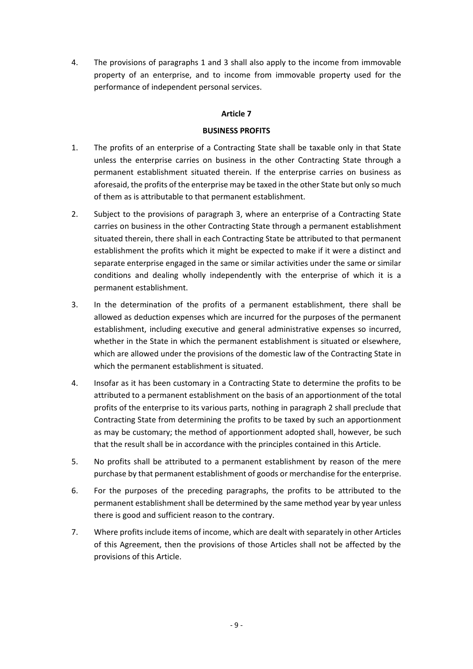4. The provisions of paragraphs 1 and 3 shall also apply to the income from immovable property of an enterprise, and to income from immovable property used for the performance of independent personal services.

### **Article 7**

### **BUSINESS PROFITS**

- 1. The profits of an enterprise of a Contracting State shall be taxable only in that State unless the enterprise carries on business in the other Contracting State through a permanent establishment situated therein. If the enterprise carries on business as aforesaid, the profits of the enterprise may be taxed in the other State but only so much of them as is attributable to that permanent establishment.
- 2. Subject to the provisions of paragraph 3, where an enterprise of a Contracting State carries on business in the other Contracting State through a permanent establishment situated therein, there shall in each Contracting State be attributed to that permanent establishment the profits which it might be expected to make if it were a distinct and separate enterprise engaged in the same or similar activities under the same or similar conditions and dealing wholly independently with the enterprise of which it is a permanent establishment.
- 3. In the determination of the profits of a permanent establishment, there shall be allowed as deduction expenses which are incurred for the purposes of the permanent establishment, including executive and general administrative expenses so incurred, whether in the State in which the permanent establishment is situated or elsewhere, which are allowed under the provisions of the domestic law of the Contracting State in which the permanent establishment is situated.
- 4. Insofar as it has been customary in a Contracting State to determine the profits to be attributed to a permanent establishment on the basis of an apportionment of the total profits of the enterprise to its various parts, nothing in paragraph 2 shall preclude that Contracting State from determining the profits to be taxed by such an apportionment as may be customary; the method of apportionment adopted shall, however, be such that the result shall be in accordance with the principles contained in this Article.
- 5. No profits shall be attributed to a permanent establishment by reason of the mere purchase by that permanent establishment of goods or merchandise for the enterprise.
- 6. For the purposes of the preceding paragraphs, the profits to be attributed to the permanent establishment shall be determined by the same method year by year unless there is good and sufficient reason to the contrary.
- 7. Where profits include items of income, which are dealt with separately in other Articles of this Agreement, then the provisions of those Articles shall not be affected by the provisions of this Article.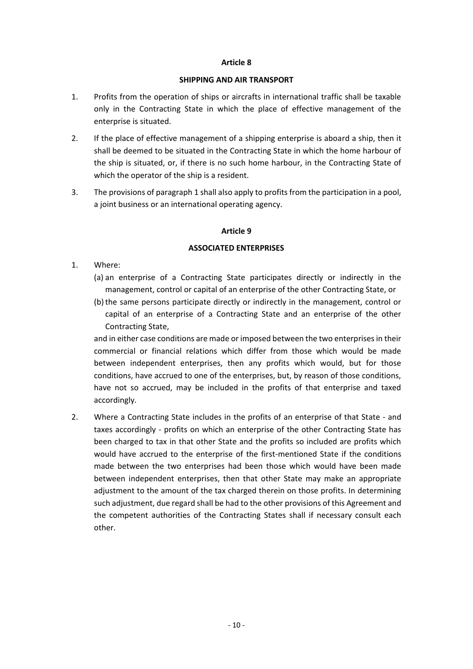### **SHIPPING AND AIR TRANSPORT**

- 1. Profits from the operation of ships or aircrafts in international traffic shall be taxable only in the Contracting State in which the place of effective management of the enterprise is situated.
- 2. If the place of effective management of a shipping enterprise is aboard a ship, then it shall be deemed to be situated in the Contracting State in which the home harbour of the ship is situated, or, if there is no such home harbour, in the Contracting State of which the operator of the ship is a resident.
- 3. The provisions of paragraph 1 shall also apply to profits from the participation in a pool, a joint business or an international operating agency.

### **Article 9**

### **ASSOCIATED ENTERPRISES**

- 1. Where:
	- (a) an enterprise of a Contracting State participates directly or indirectly in the management, control or capital of an enterprise of the other Contracting State, or
	- (b)the same persons participate directly or indirectly in the management, control or capital of an enterprise of a Contracting State and an enterprise of the other Contracting State,

and in either case conditions are made or imposed between the two enterprises in their commercial or financial relations which differ from those which would be made between independent enterprises, then any profits which would, but for those conditions, have accrued to one of the enterprises, but, by reason of those conditions, have not so accrued, may be included in the profits of that enterprise and taxed accordingly.

2. Where a Contracting State includes in the profits of an enterprise of that State - and taxes accordingly - profits on which an enterprise of the other Contracting State has been charged to tax in that other State and the profits so included are profits which would have accrued to the enterprise of the first-mentioned State if the conditions made between the two enterprises had been those which would have been made between independent enterprises, then that other State may make an appropriate adjustment to the amount of the tax charged therein on those profits. In determining such adjustment, due regard shall be had to the other provisions of this Agreement and the competent authorities of the Contracting States shall if necessary consult each other.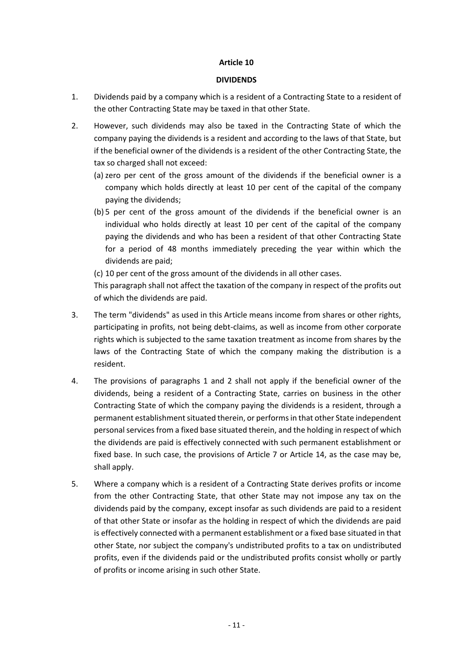#### **DIVIDENDS**

- 1. Dividends paid by a company which is a resident of a Contracting State to a resident of the other Contracting State may be taxed in that other State.
- 2. However, such dividends may also be taxed in the Contracting State of which the company paying the dividends is a resident and according to the laws of that State, but if the beneficial owner of the dividends is a resident of the other Contracting State, the tax so charged shall not exceed:
	- (a) zero per cent of the gross amount of the dividends if the beneficial owner is a company which holds directly at least 10 per cent of the capital of the company paying the dividends;
	- (b) 5 per cent of the gross amount of the dividends if the beneficial owner is an individual who holds directly at least 10 per cent of the capital of the company paying the dividends and who has been a resident of that other Contracting State for a period of 48 months immediately preceding the year within which the dividends are paid;
	- (c) 10 per cent of the gross amount of the dividends in all other cases.

This paragraph shall not affect the taxation of the company in respect of the profits out of which the dividends are paid.

- 3. The term "dividends" as used in this Article means income from shares or other rights, participating in profits, not being debt-claims, as well as income from other corporate rights which is subjected to the same taxation treatment as income from shares by the laws of the Contracting State of which the company making the distribution is a resident.
- 4. The provisions of paragraphs 1 and 2 shall not apply if the beneficial owner of the dividends, being a resident of a Contracting State, carries on business in the other Contracting State of which the company paying the dividends is a resident, through a permanent establishment situated therein, or performs in that other State independent personal services from a fixed base situated therein, and the holding in respect of which the dividends are paid is effectively connected with such permanent establishment or fixed base. In such case, the provisions of Article 7 or Article 14, as the case may be, shall apply.
- 5. Where a company which is a resident of a Contracting State derives profits or income from the other Contracting State, that other State may not impose any tax on the dividends paid by the company, except insofar as such dividends are paid to a resident of that other State or insofar as the holding in respect of which the dividends are paid is effectively connected with a permanent establishment or a fixed base situated in that other State, nor subject the company's undistributed profits to a tax on undistributed profits, even if the dividends paid or the undistributed profits consist wholly or partly of profits or income arising in such other State.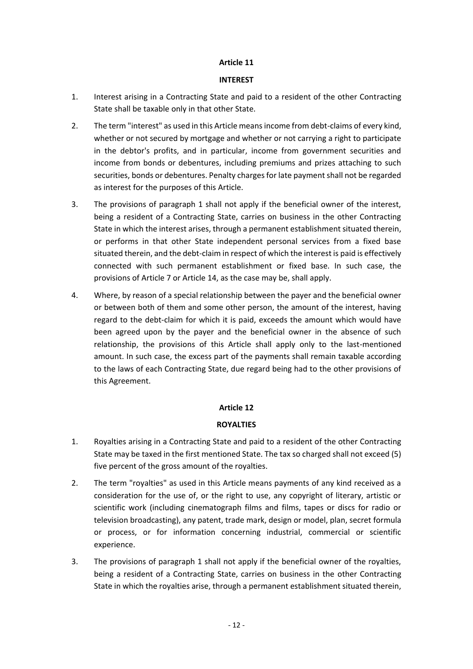### **INTEREST**

- 1. Interest arising in a Contracting State and paid to a resident of the other Contracting State shall be taxable only in that other State.
- 2. The term "interest" as used in this Article means income from debt-claims of every kind, whether or not secured by mortgage and whether or not carrying a right to participate in the debtor's profits, and in particular, income from government securities and income from bonds or debentures, including premiums and prizes attaching to such securities, bonds or debentures. Penalty charges for late payment shall not be regarded as interest for the purposes of this Article.
- 3. The provisions of paragraph 1 shall not apply if the beneficial owner of the interest, being a resident of a Contracting State, carries on business in the other Contracting State in which the interest arises, through a permanent establishment situated therein, or performs in that other State independent personal services from a fixed base situated therein, and the debt-claim in respect of which the interest is paid is effectively connected with such permanent establishment or fixed base. In such case, the provisions of Article 7 or Article 14, as the case may be, shall apply.
- 4. Where, by reason of a special relationship between the payer and the beneficial owner or between both of them and some other person, the amount of the interest, having regard to the debt-claim for which it is paid, exceeds the amount which would have been agreed upon by the payer and the beneficial owner in the absence of such relationship, the provisions of this Article shall apply only to the last-mentioned amount. In such case, the excess part of the payments shall remain taxable according to the laws of each Contracting State, due regard being had to the other provisions of this Agreement.

# **Article 12**

# **ROYALTIES**

- 1. Royalties arising in a Contracting State and paid to a resident of the other Contracting State may be taxed in the first mentioned State. The tax so charged shall not exceed (5) five percent of the gross amount of the royalties.
- 2. The term "royalties" as used in this Article means payments of any kind received as a consideration for the use of, or the right to use, any copyright of literary, artistic or scientific work (including cinematograph films and films, tapes or discs for radio or television broadcasting), any patent, trade mark, design or model, plan, secret formula or process, or for information concerning industrial, commercial or scientific experience.
- 3. The provisions of paragraph 1 shall not apply if the beneficial owner of the royalties, being a resident of a Contracting State, carries on business in the other Contracting State in which the royalties arise, through a permanent establishment situated therein,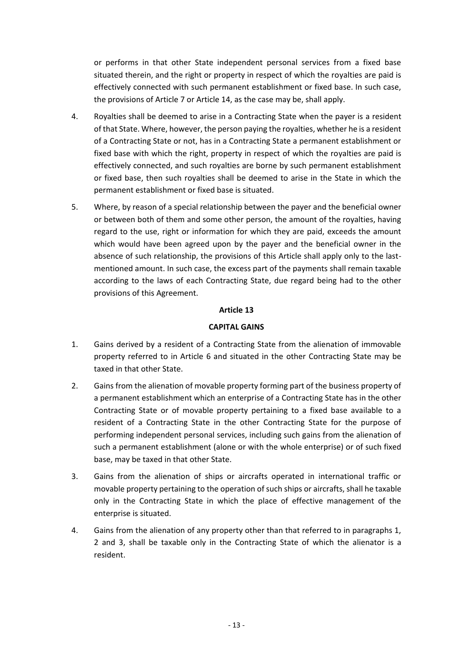or performs in that other State independent personal services from a fixed base situated therein, and the right or property in respect of which the royalties are paid is effectively connected with such permanent establishment or fixed base. In such case, the provisions of Article 7 or Article 14, as the case may be, shall apply.

- 4. Royalties shall be deemed to arise in a Contracting State when the payer is a resident of that State. Where, however, the person paying the royalties, whether he is a resident of a Contracting State or not, has in a Contracting State a permanent establishment or fixed base with which the right, property in respect of which the royalties are paid is effectively connected, and such royalties are borne by such permanent establishment or fixed base, then such royalties shall be deemed to arise in the State in which the permanent establishment or fixed base is situated.
- 5. Where, by reason of a special relationship between the payer and the beneficial owner or between both of them and some other person, the amount of the royalties, having regard to the use, right or information for which they are paid, exceeds the amount which would have been agreed upon by the payer and the beneficial owner in the absence of such relationship, the provisions of this Article shall apply only to the lastmentioned amount. In such case, the excess part of the payments shall remain taxable according to the laws of each Contracting State, due regard being had to the other provisions of this Agreement.

### **Article 13**

### **CAPITAL GAINS**

- 1. Gains derived by a resident of a Contracting State from the alienation of immovable property referred to in Article 6 and situated in the other Contracting State may be taxed in that other State.
- 2. Gains from the alienation of movable property forming part of the business property of a permanent establishment which an enterprise of a Contracting State has in the other Contracting State or of movable property pertaining to a fixed base available to a resident of a Contracting State in the other Contracting State for the purpose of performing independent personal services, including such gains from the alienation of such a permanent establishment (alone or with the whole enterprise) or of such fixed base, may be taxed in that other State.
- 3. Gains from the alienation of ships or aircrafts operated in international traffic or movable property pertaining to the operation of such ships or aircrafts, shall he taxable only in the Contracting State in which the place of effective management of the enterprise is situated.
- 4. Gains from the alienation of any property other than that referred to in paragraphs 1, 2 and 3, shall be taxable only in the Contracting State of which the alienator is a resident.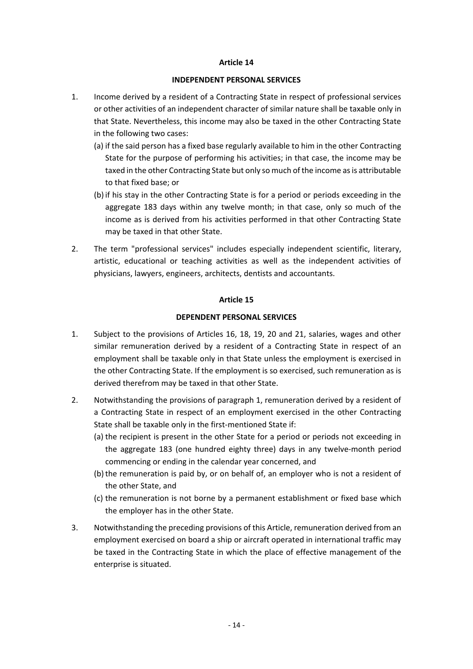#### **INDEPENDENT PERSONAL SERVICES**

- 1. Income derived by a resident of a Contracting State in respect of professional services or other activities of an independent character of similar nature shall be taxable only in that State. Nevertheless, this income may also be taxed in the other Contracting State in the following two cases:
	- (a) if the said person has a fixed base regularly available to him in the other Contracting State for the purpose of performing his activities; in that case, the income may be taxed in the other Contracting State but only so much of the income as is attributable to that fixed base; or
	- (b) if his stay in the other Contracting State is for a period or periods exceeding in the aggregate 183 days within any twelve month; in that case, only so much of the income as is derived from his activities performed in that other Contracting State may be taxed in that other State.
- 2. The term "professional services" includes especially independent scientific, literary, artistic, educational or teaching activities as well as the independent activities of physicians, lawyers, engineers, architects, dentists and accountants.

### **Article 15**

### **DEPENDENT PERSONAL SERVICES**

- 1. Subject to the provisions of Articles 16, 18, 19, 20 and 21, salaries, wages and other similar remuneration derived by a resident of a Contracting State in respect of an employment shall be taxable only in that State unless the employment is exercised in the other Contracting State. If the employment is so exercised, such remuneration as is derived therefrom may be taxed in that other State.
- 2. Notwithstanding the provisions of paragraph 1, remuneration derived by a resident of a Contracting State in respect of an employment exercised in the other Contracting State shall be taxable only in the first-mentioned State if:
	- (a) the recipient is present in the other State for a period or periods not exceeding in the aggregate 183 (one hundred eighty three) days in any twelve-month period commencing or ending in the calendar year concerned, and
	- (b)the remuneration is paid by, or on behalf of, an employer who is not a resident of the other State, and
	- (c) the remuneration is not borne by a permanent establishment or fixed base which the employer has in the other State.
- 3. Notwithstanding the preceding provisions of this Article, remuneration derived from an employment exercised on board a ship or aircraft operated in international traffic may be taxed in the Contracting State in which the place of effective management of the enterprise is situated.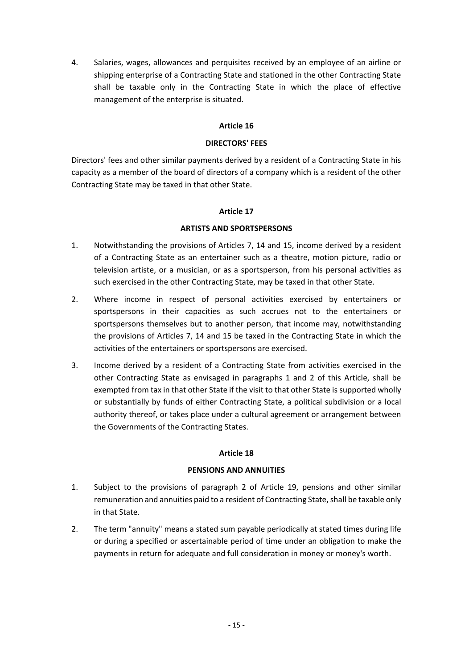4. Salaries, wages, allowances and perquisites received by an employee of an airline or shipping enterprise of a Contracting State and stationed in the other Contracting State shall be taxable only in the Contracting State in which the place of effective management of the enterprise is situated.

# **Article 16**

## **DIRECTORS' FEES**

Directors' fees and other similar payments derived by a resident of a Contracting State in his capacity as a member of the board of directors of a company which is a resident of the other Contracting State may be taxed in that other State.

### **Article 17**

### **ARTISTS AND SPORTSPERSONS**

- 1. Notwithstanding the provisions of Articles 7, 14 and 15, income derived by a resident of a Contracting State as an entertainer such as a theatre, motion picture, radio or television artiste, or a musician, or as a sportsperson, from his personal activities as such exercised in the other Contracting State, may be taxed in that other State.
- 2. Where income in respect of personal activities exercised by entertainers or sportspersons in their capacities as such accrues not to the entertainers or sportspersons themselves but to another person, that income may, notwithstanding the provisions of Articles 7, 14 and 15 be taxed in the Contracting State in which the activities of the entertainers or sportspersons are exercised.
- 3. Income derived by a resident of a Contracting State from activities exercised in the other Contracting State as envisaged in paragraphs 1 and 2 of this Article, shall be exempted from tax in that other State if the visit to that other State is supported wholly or substantially by funds of either Contracting State, a political subdivision or a local authority thereof, or takes place under a cultural agreement or arrangement between the Governments of the Contracting States.

### **Article 18**

### **PENSIONS AND ANNUITIES**

- 1. Subject to the provisions of paragraph 2 of Article 19, pensions and other similar remuneration and annuities paid to a resident of Contracting State, shall be taxable only in that State.
- 2. The term "annuity" means a stated sum payable periodically at stated times during life or during a specified or ascertainable period of time under an obligation to make the payments in return for adequate and full consideration in money or money's worth.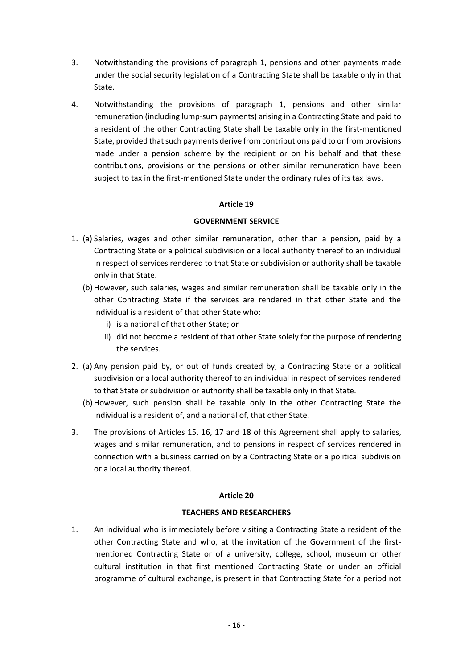- 3. Notwithstanding the provisions of paragraph 1, pensions and other payments made under the social security legislation of a Contracting State shall be taxable only in that State.
- 4. Notwithstanding the provisions of paragraph 1, pensions and other similar remuneration (including lump-sum payments) arising in a Contracting State and paid to a resident of the other Contracting State shall be taxable only in the first-mentioned State, provided that such payments derive from contributions paid to or from provisions made under a pension scheme by the recipient or on his behalf and that these contributions, provisions or the pensions or other similar remuneration have been subject to tax in the first-mentioned State under the ordinary rules of its tax laws.

### **GOVERNMENT SERVICE**

- 1. (a) Salaries, wages and other similar remuneration, other than a pension, paid by a Contracting State or a political subdivision or a local authority thereof to an individual in respect of services rendered to that State or subdivision or authority shall be taxable only in that State.
	- (b) However, such salaries, wages and similar remuneration shall be taxable only in the other Contracting State if the services are rendered in that other State and the individual is a resident of that other State who:
		- i) is a national of that other State; or
		- ii) did not become a resident of that other State solely for the purpose of rendering the services.
- 2. (a) Any pension paid by, or out of funds created by, a Contracting State or a political subdivision or a local authority thereof to an individual in respect of services rendered to that State or subdivision or authority shall be taxable only in that State.
	- (b) However, such pension shall be taxable only in the other Contracting State the individual is a resident of, and a national of, that other State.
- 3. The provisions of Articles 15, 16, 17 and 18 of this Agreement shall apply to salaries, wages and similar remuneration, and to pensions in respect of services rendered in connection with a business carried on by a Contracting State or a political subdivision or a local authority thereof.

### **Article 20**

### **TEACHERS AND RESEARCHERS**

1. An individual who is immediately before visiting a Contracting State a resident of the other Contracting State and who, at the invitation of the Government of the firstmentioned Contracting State or of a university, college, school, museum or other cultural institution in that first mentioned Contracting State or under an official programme of cultural exchange, is present in that Contracting State for a period not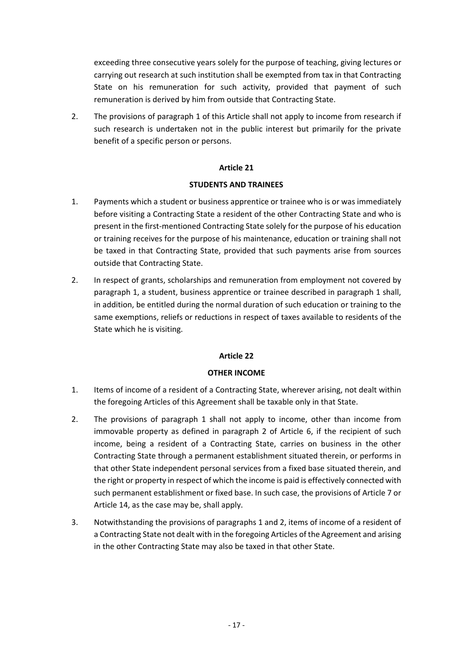exceeding three consecutive years solely for the purpose of teaching, giving lectures or carrying out research at such institution shall be exempted from tax in that Contracting State on his remuneration for such activity, provided that payment of such remuneration is derived by him from outside that Contracting State.

2. The provisions of paragraph 1 of this Article shall not apply to income from research if such research is undertaken not in the public interest but primarily for the private benefit of a specific person or persons.

# **Article 21**

### **STUDENTS AND TRAINEES**

- 1. Payments which a student or business apprentice or trainee who is or was immediately before visiting a Contracting State a resident of the other Contracting State and who is present in the first-mentioned Contracting State solely for the purpose of his education or training receives for the purpose of his maintenance, education or training shall not be taxed in that Contracting State, provided that such payments arise from sources outside that Contracting State.
- 2. In respect of grants, scholarships and remuneration from employment not covered by paragraph 1, a student, business apprentice or trainee described in paragraph 1 shall, in addition, be entitled during the normal duration of such education or training to the same exemptions, reliefs or reductions in respect of taxes available to residents of the State which he is visiting.

# **Article 22**

# **OTHER INCOME**

- 1. Items of income of a resident of a Contracting State, wherever arising, not dealt within the foregoing Articles of this Agreement shall be taxable only in that State.
- 2. The provisions of paragraph 1 shall not apply to income, other than income from immovable property as defined in paragraph 2 of Article 6, if the recipient of such income, being a resident of a Contracting State, carries on business in the other Contracting State through a permanent establishment situated therein, or performs in that other State independent personal services from a fixed base situated therein, and the right or property in respect of which the income is paid is effectively connected with such permanent establishment or fixed base. In such case, the provisions of Article 7 or Article 14, as the case may be, shall apply.
- 3. Notwithstanding the provisions of paragraphs 1 and 2, items of income of a resident of a Contracting State not dealt with in the foregoing Articles of the Agreement and arising in the other Contracting State may also be taxed in that other State.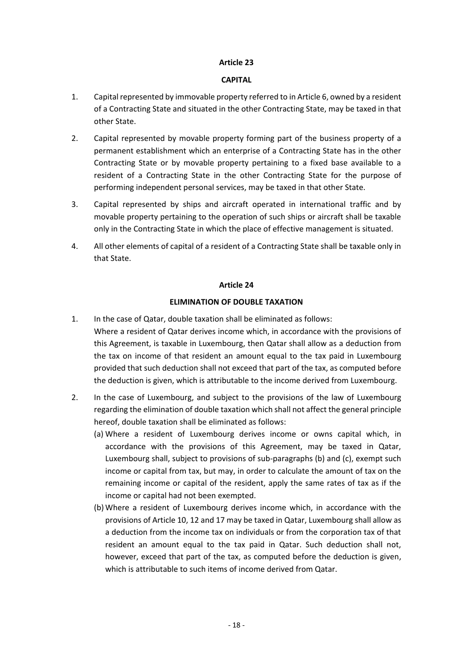### **CAPITAL**

- 1. Capital represented by immovable property referred to in Article 6, owned by a resident of a Contracting State and situated in the other Contracting State, may be taxed in that other State.
- 2. Capital represented by movable property forming part of the business property of a permanent establishment which an enterprise of a Contracting State has in the other Contracting State or by movable property pertaining to a fixed base available to a resident of a Contracting State in the other Contracting State for the purpose of performing independent personal services, may be taxed in that other State.
- 3. Capital represented by ships and aircraft operated in international traffic and by movable property pertaining to the operation of such ships or aircraft shall be taxable only in the Contracting State in which the place of effective management is situated.
- 4. All other elements of capital of a resident of a Contracting State shall be taxable only in that State.

### **Article 24**

# **ELIMINATION OF DOUBLE TAXATION**

- 1. In the case of Qatar, double taxation shall be eliminated as follows: Where a resident of Qatar derives income which, in accordance with the provisions of this Agreement, is taxable in Luxembourg, then Qatar shall allow as a deduction from the tax on income of that resident an amount equal to the tax paid in Luxembourg provided that such deduction shall not exceed that part of the tax, as computed before the deduction is given, which is attributable to the income derived from Luxembourg.
- 2. In the case of Luxembourg, and subject to the provisions of the law of Luxembourg regarding the elimination of double taxation which shall not affect the general principle hereof, double taxation shall be eliminated as follows:
	- (a) Where a resident of Luxembourg derives income or owns capital which, in accordance with the provisions of this Agreement, may be taxed in Qatar, Luxembourg shall, subject to provisions of sub-paragraphs (b) and (c), exempt such income or capital from tax, but may, in order to calculate the amount of tax on the remaining income or capital of the resident, apply the same rates of tax as if the income or capital had not been exempted.
	- (b) Where a resident of Luxembourg derives income which, in accordance with the provisions of Article 10, 12 and 17 may be taxed in Qatar, Luxembourg shall allow as a deduction from the income tax on individuals or from the corporation tax of that resident an amount equal to the tax paid in Qatar. Such deduction shall not, however, exceed that part of the tax, as computed before the deduction is given, which is attributable to such items of income derived from Qatar.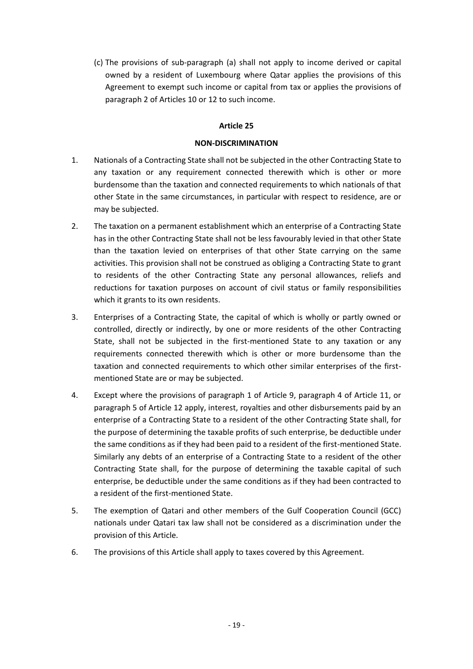(c) The provisions of sub-paragraph (a) shall not apply to income derived or capital owned by a resident of Luxembourg where Qatar applies the provisions of this Agreement to exempt such income or capital from tax or applies the provisions of paragraph 2 of Articles 10 or 12 to such income.

### **Article 25**

### **NON-DISCRIMINATION**

- 1. Nationals of a Contracting State shall not be subjected in the other Contracting State to any taxation or any requirement connected therewith which is other or more burdensome than the taxation and connected requirements to which nationals of that other State in the same circumstances, in particular with respect to residence, are or may be subjected.
- 2. The taxation on a permanent establishment which an enterprise of a Contracting State has in the other Contracting State shall not be less favourably levied in that other State than the taxation levied on enterprises of that other State carrying on the same activities. This provision shall not be construed as obliging a Contracting State to grant to residents of the other Contracting State any personal allowances, reliefs and reductions for taxation purposes on account of civil status or family responsibilities which it grants to its own residents.
- 3. Enterprises of a Contracting State, the capital of which is wholly or partly owned or controlled, directly or indirectly, by one or more residents of the other Contracting State, shall not be subjected in the first-mentioned State to any taxation or any requirements connected therewith which is other or more burdensome than the taxation and connected requirements to which other similar enterprises of the firstmentioned State are or may be subjected.
- 4. Except where the provisions of paragraph 1 of Article 9, paragraph 4 of Article 11, or paragraph 5 of Article 12 apply, interest, royalties and other disbursements paid by an enterprise of a Contracting State to a resident of the other Contracting State shall, for the purpose of determining the taxable profits of such enterprise, be deductible under the same conditions as if they had been paid to a resident of the first-mentioned State. Similarly any debts of an enterprise of a Contracting State to a resident of the other Contracting State shall, for the purpose of determining the taxable capital of such enterprise, be deductible under the same conditions as if they had been contracted to a resident of the first-mentioned State.
- 5. The exemption of Qatari and other members of the Gulf Cooperation Council (GCC) nationals under Qatari tax law shall not be considered as a discrimination under the provision of this Article.
- 6. The provisions of this Article shall apply to taxes covered by this Agreement.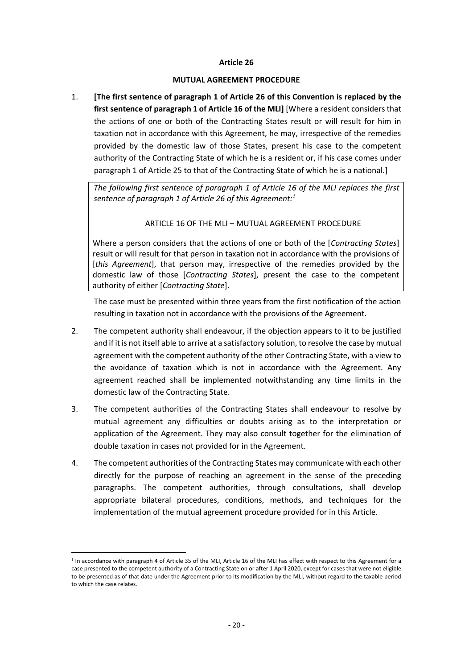#### **MUTUAL AGREEMENT PROCEDURE**

1. **[The first sentence of paragraph 1 of Article 26 of this Convention is replaced by the first sentence of paragraph 1 of Article 16 of the MLI]** [Where a resident considers that the actions of one or both of the Contracting States result or will result for him in taxation not in accordance with this Agreement, he may, irrespective of the remedies provided by the domestic law of those States, present his case to the competent authority of the Contracting State of which he is a resident or, if his case comes under paragraph 1 of Article 25 to that of the Contracting State of which he is a national.]

*The following first sentence of paragraph 1 of Article 16 of the MLI replaces the first sentence of paragraph 1 of Article 26 of this Agreement:<sup>1</sup>*

### ARTICLE 16 OF THE MLI – MUTUAL AGREEMENT PROCEDURE

Where a person considers that the actions of one or both of the [*Contracting States*] result or will result for that person in taxation not in accordance with the provisions of [*this Agreement*], that person may, irrespective of the remedies provided by the domestic law of those [*Contracting States*], present the case to the competent authority of either [*Contracting State*].

The case must be presented within three years from the first notification of the action resulting in taxation not in accordance with the provisions of the Agreement.

- 2. The competent authority shall endeavour, if the objection appears to it to be justified and if it is not itself able to arrive at a satisfactory solution, to resolve the case by mutual agreement with the competent authority of the other Contracting State, with a view to the avoidance of taxation which is not in accordance with the Agreement. Any agreement reached shall be implemented notwithstanding any time limits in the domestic law of the Contracting State.
- 3. The competent authorities of the Contracting States shall endeavour to resolve by mutual agreement any difficulties or doubts arising as to the interpretation or application of the Agreement. They may also consult together for the elimination of double taxation in cases not provided for in the Agreement.
- 4. The competent authorities of the Contracting States may communicate with each other directly for the purpose of reaching an agreement in the sense of the preceding paragraphs. The competent authorities, through consultations, shall develop appropriate bilateral procedures, conditions, methods, and techniques for the implementation of the mutual agreement procedure provided for in this Article.

<u>.</u>

<sup>&</sup>lt;sup>1</sup> In accordance with paragraph 4 of Article 35 of the MLI, Article 16 of the MLI has effect with respect to this Agreement for a case presented to the competent authority of a Contracting State on or after 1 April 2020, except for cases that were not eligible to be presented as of that date under the Agreement prior to its modification by the MLI, without regard to the taxable period to which the case relates.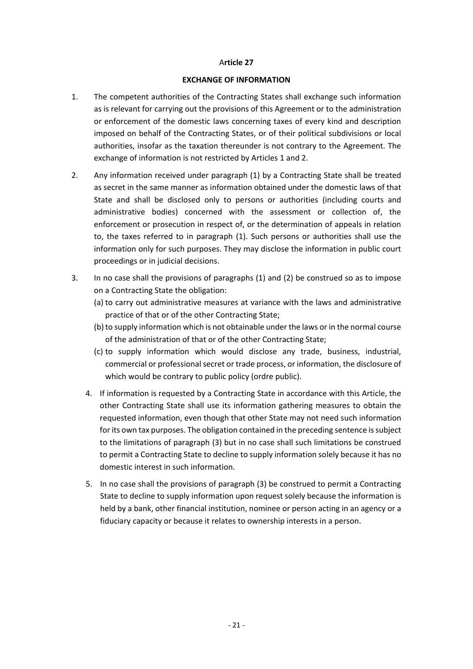#### **EXCHANGE OF INFORMATION**

- 1. The competent authorities of the Contracting States shall exchange such information as is relevant for carrying out the provisions of this Agreement or to the administration or enforcement of the domestic laws concerning taxes of every kind and description imposed on behalf of the Contracting States, or of their political subdivisions or local authorities, insofar as the taxation thereunder is not contrary to the Agreement. The exchange of information is not restricted by Articles 1 and 2.
- 2. Any information received under paragraph (1) by a Contracting State shall be treated as secret in the same manner as information obtained under the domestic laws of that State and shall be disclosed only to persons or authorities (including courts and administrative bodies) concerned with the assessment or collection of, the enforcement or prosecution in respect of, or the determination of appeals in relation to, the taxes referred to in paragraph (1). Such persons or authorities shall use the information only for such purposes. They may disclose the information in public court proceedings or in judicial decisions.
- 3. In no case shall the provisions of paragraphs (1) and (2) be construed so as to impose on a Contracting State the obligation:
	- (a) to carry out administrative measures at variance with the laws and administrative practice of that or of the other Contracting State;
	- (b) to supply information which is not obtainable under the laws or in the normal course of the administration of that or of the other Contracting State;
	- (c) to supply information which would disclose any trade, business, industrial, commercial or professional secret or trade process, or information, the disclosure of which would be contrary to public policy (ordre public).
	- 4. If information is requested by a Contracting State in accordance with this Article, the other Contracting State shall use its information gathering measures to obtain the requested information, even though that other State may not need such information for its own tax purposes. The obligation contained in the preceding sentence is subject to the limitations of paragraph (3) but in no case shall such limitations be construed to permit a Contracting State to decline to supply information solely because it has no domestic interest in such information.
	- 5. In no case shall the provisions of paragraph (3) be construed to permit a Contracting State to decline to supply information upon request solely because the information is held by a bank, other financial institution, nominee or person acting in an agency or a fiduciary capacity or because it relates to ownership interests in a person.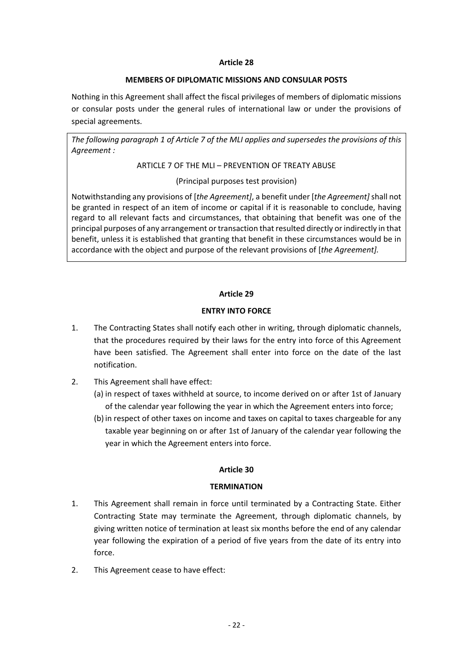## **MEMBERS OF DIPLOMATIC MISSIONS AND CONSULAR POSTS**

Nothing in this Agreement shall affect the fiscal privileges of members of diplomatic missions or consular posts under the general rules of international law or under the provisions of special agreements.

*The following paragraph 1 of Article 7 of the MLI applies and supersedes the provisions of this Agreement :*

ARTICLE 7 OF THE MLI – PREVENTION OF TREATY ABUSE

(Principal purposes test provision)

Notwithstanding any provisions of [*the Agreement]*, a benefit under [*the Agreement]* shall not be granted in respect of an item of income or capital if it is reasonable to conclude, having regard to all relevant facts and circumstances, that obtaining that benefit was one of the principal purposes of any arrangement or transaction that resulted directly or indirectly in that benefit, unless it is established that granting that benefit in these circumstances would be in accordance with the object and purpose of the relevant provisions of [*the Agreement].*

# **Article 29**

# **ENTRY INTO FORCE**

- 1. The Contracting States shall notify each other in writing, through diplomatic channels, that the procedures required by their laws for the entry into force of this Agreement have been satisfied. The Agreement shall enter into force on the date of the last notification.
- 2. This Agreement shall have effect:
	- (a) in respect of taxes withheld at source, to income derived on or after 1st of January of the calendar year following the year in which the Agreement enters into force;
	- (b) in respect of other taxes on income and taxes on capital to taxes chargeable for any taxable year beginning on or after 1st of January of the calendar year following the year in which the Agreement enters into force.

# **Article 30**

# **TERMINATION**

- 1. This Agreement shall remain in force until terminated by a Contracting State. Either Contracting State may terminate the Agreement, through diplomatic channels, by giving written notice of termination at least six months before the end of any calendar year following the expiration of a period of five years from the date of its entry into force.
- 2. This Agreement cease to have effect: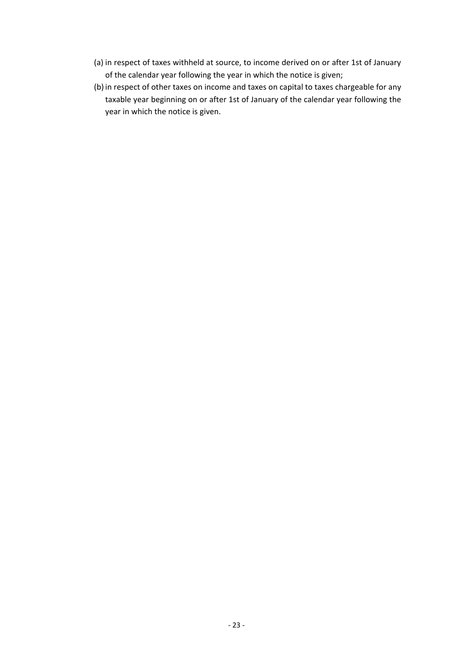- (a) in respect of taxes withheld at source, to income derived on or after 1st of January of the calendar year following the year in which the notice is given;
- (b) in respect of other taxes on income and taxes on capital to taxes chargeable for any taxable year beginning on or after 1st of January of the calendar year following the year in which the notice is given.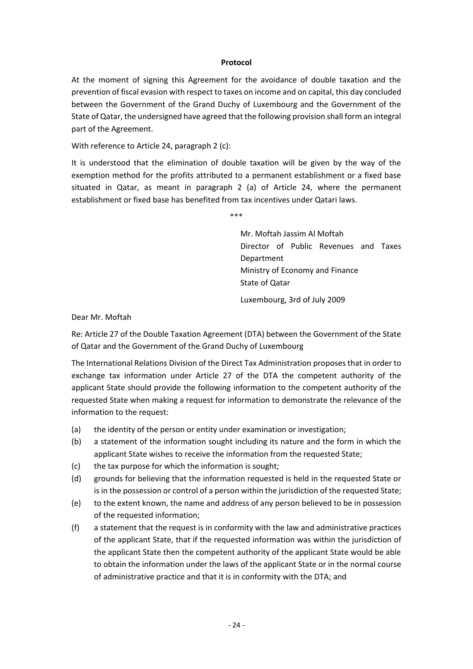### **Protocol**

At the moment of signing this Agreement for the avoidance of double taxation and the prevention of fiscal evasion with respect to taxes on income and on capital, this day concluded between the Government of the Grand Duchy of Luxembourg and the Government of the State of Qatar, the undersigned have agreed that the following provision shall form an integral part of the Agreement.

With reference to Article 24, paragraph 2 (c):

It is understood that the elimination of double taxation will be given by the way of the exemption method for the profits attributed to a permanent establishment or a fixed base situated in Qatar, as meant in paragraph 2 (a) of Article 24, where the permanent establishment or fixed base has benefited from tax incentives under Qatari laws.

\*\*\*

Mr. Moftah Jassim Al Moftah Director of Public Revenues and Taxes Department Ministry of Economy and Finance State of Qatar

Luxembourg, 3rd of July 2009

Dear Mr. Moftah

Re: Article 27 of the Double Taxation Agreement (DTA) between the Government of the State of Qatar and the Government of the Grand Duchy of Luxembourg

The International Relations Division of the Direct Tax Administration proposes that in order to exchange tax information under Article 27 of the DTA the competent authority of the applicant State should provide the following information to the competent authority of the requested State when making a request for information to demonstrate the relevance of the information to the request:

- (a) the identity of the person or entity under examination or investigation;
- (b) a statement of the information sought including its nature and the form in which the applicant State wishes to receive the information from the requested State;
- (c) the tax purpose for which the information is sought;
- (d) grounds for believing that the information requested is held in the requested State or is in the possession or control of a person within the jurisdiction of the requested State;
- (e) to the extent known, the name and address of any person believed to be in possession of the requested information;
- (f) a statement that the request is in conformity with the law and administrative practices of the applicant State, that if the requested information was within the jurisdiction of the applicant State then the competent authority of the applicant State would be able to obtain the information under the laws of the applicant State or in the normal course of administrative practice and that it is in conformity with the DTA; and